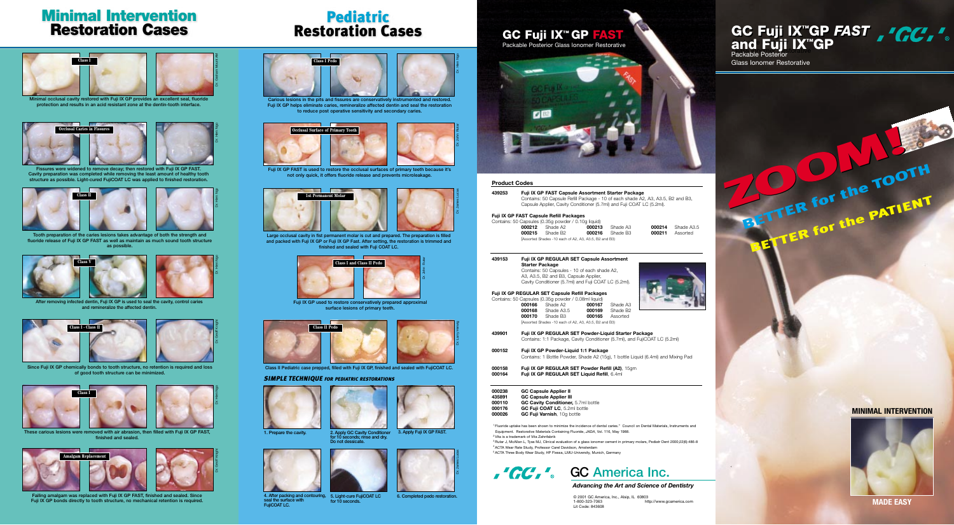## **GC Fuji IX™GP** *FAST* **GC Fuji IX™GP** *FAST* Packable Posterior **and Fuji IX™GP**

ZOO OD TOO

BETTER for the PATIENT

BETTER for the PATIENT

Packable Posterior Glass Ionomer Restorative

**000211** Assorted

#### **43** ule Assortment

**169** Shade B2 **05** Assorted  $B2$  and  $B3$ )

Shade A3

A2 (15g), 1 bottle Liquid (6.4ml) and Mixing Pad

**er Refill (A2)**, 15gm

© 2001 GC America, Inc., Alsip, IL 60803 http://www.gcamerica.com

## **MINIMAL INTERVENTION**



**MADE EASY**

#### *Advancing the Art and Science of Dentistry*



Lit Code: 843608

## **GC Fuji IX™ GP FAST** Packable Posterior Glass Ionomer Restorative



Contains: 50 Capsules (0.35g powder / 0.10g liquid)<br> **000212** Shade A2 **000213** Shade A3 **000212** Shade A2 **000213** Shade A3 **000214** Shade A3.5 (Assorted Shades -10 each of A2, A3, A3.5, B2 and B3)

3 Rutar J, McAllan L, Tyas MJ, Clinical evaluation of a glass ionomer cement in primary molars, Pediatr Dent 2000;22(6):486-8 4 ACTA Wear Rate Study, Professor Carel Davidson, Amsterdam 5 ACTA Three Body Wear Study, HP Flessa, LMU-University, Munich, Germany

**439253 Fuji IX GP FAST Capsule Assortment Starter Package** Contains: 50 Capsule Refill Package - 10 of each shade A2, A3, A3.5, B2 and B3, Capsule Applier, Cavity Conditioner (5.7ml) and Fuji COAT LC (5.2ml).

#### **Fuji IX GP FAST Capsule Refill Packages**

| 439153 | Fuji IX GP REGULAR SET Capsu |
|--------|------------------------------|
|        | <b>Starter Package</b>       |

Contains: 50 Capsules - 10 of each shade A2, A3, A3.5, B2 and B3, Capsule Applier, Cavity Conditioner (5.7ml) and Fuji COAT LC (5.2ml).

#### **Fuji IX GP REGULAR SET Capsule Refill Packages**

| Contains: 50 Capsules (0.35q powder / 0.08ml liquid) |                                                  |        |  |  |
|------------------------------------------------------|--------------------------------------------------|--------|--|--|
| 000166                                               | Shade A2                                         | 000167 |  |  |
| 000168                                               | Shade A3.5                                       | 000169 |  |  |
| 000170                                               | Shade B3                                         | 000165 |  |  |
|                                                      | (Assorted Shades -10 each of A2, A3, A3.5, B2 at |        |  |  |

**439901 Fuji IX GP REGULAR SET Powder-Liquid Starter Package** Contains: 1:1 Package, Cavity Conditioner (5.7ml), and FujiCOAT LC (5.2ml)

| 000152 | Fuji IX GP Powder-Liquid 1:1 Package<br>Contains: 1 Bottle Powder, Shade A2 (15g), 1 bot |
|--------|------------------------------------------------------------------------------------------|
| 000158 | Fuji IX GP REGULAR SET Powder Refill (A2).                                               |
| 000164 | Fuji IX GP REGULAR SET Liquid Refill, 6.4ml                                              |

| 000238 | <b>GC Capsule Applier II</b>        |
|--------|-------------------------------------|
| 435891 | <b>GC Capsule Applier III</b>       |
| 000110 | GC Cavity Conditioner. 5.7ml bottle |
| 000176 | GC Fuji COAT LC, 5.2ml bottle       |
| 000026 | GC Fuji Varnish, 10g bottle         |

<sup>1</sup> Fluoride uptake has been shown to minimize the incidence of dental caries." Council on Dental Materials, Instruments and Equipment. Restorative Materials Containing Fluoride, *JADA*, Vol. 116, May 1988. <sup>2</sup> Vita is a trademark of Vita Zahnfabrik

#### **Product Codes**

**Class II Pediatric case prepped, filled with Fuji IX GP, finished and sealed with FujiCOAT LC.**

**Carious lesions in the pits and fissures are conservatively instrumented and restored. Fuji IX GP helps eliminate caries, remineralize affected dentin and seal the restoration to reduce post operative sensitivity and secondary caries.**



**Fuji IX GP FAST is used to restore the occlusal surfaces of primary teeth because it's not only quick, it offers fluoride release and prevents microleakage.**



**Large occlusal cavity in fist permanent molar is cut and prepared. The preparation is filled and packed with Fuji IX GP or Fuji IX GP Fast. After setting, the restoration is trimmed and finished and sealed with Fuji COAT LC.**





**Fuji IX GP used to restore conservatively prepared approximal surface lesions of primary teeth.**



Dr. Hien Ngo

Dr. John Rutar

Dr. Larry Herwig Dr. James Lucas



#### *SIMPLE TECHNIQUE FOR PEDIATRIC RESTORATIONS*











**5. Light-cure FujiCOAT LC for 10 seconds.**













**6. Completed pedo restoration.**

## Pediatric Restoration Cases

**After removing infected dentin, Fuji IX GP is used to seal the cavity, control caries and remineralize the affected dentin.**



**Since Fuji IX GP chemically bonds to tooth structure, no retention is required and loss of good tooth structure can be minimized.** 



**These carious lesions were removed with air abrasion, then filled with Fuji IX GP FAST, finished and sealed.**



**Failing amalgam was replaced with Fuji IX GP FAST, finished and sealed. Since Fuji IX GP bonds directly to tooth structure, no mechanical retention is required.**



**Minimal occlusal cavity restored with Fuji IX GP provides an excellent seal, fluoride protection and results in an acid resistant zone at the dentin-tooth interface.**



**Fissures were widened to remove decay; then restored with Fuji IX GP FAST. Cavity preparation was completed while removing the least amount of healthy tooth structure as possible. Light-cured FujiCOAT LC was applied to finished restoration.**



**Tooth preparation of the caries lesions takes advantage of both the strength and fluoride release of Fuji IX GP FAST as well as maintain as much sound tooth structure as possible.**



Dr. Hien Ngo

Dr. Hien Ngo

Dr. Hien Ngo

den Ein in der Statte der den den Dr. Geoff Knight Dr. Hien Ngo Dr. Geoff Knight Dr. Hien Ngo Dr. Geoff Knight D

# **Minimal Intervention Restoration Cases**